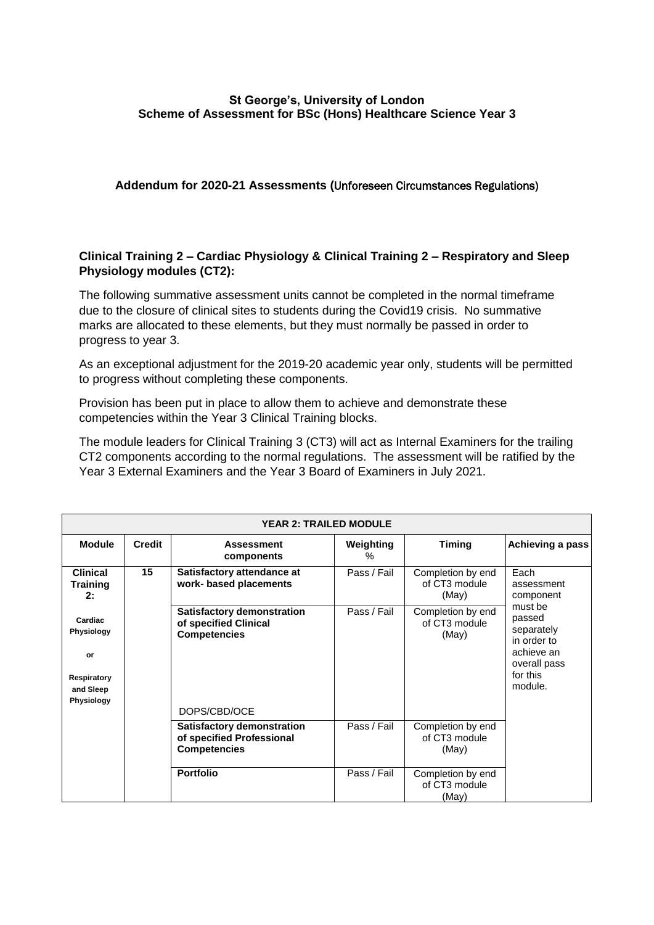## **St George's, University of London Scheme of Assessment for BSc (Hons) Healthcare Science Year 3**

### **Addendum for 2020-21 Assessments (**Unforeseen Circumstances Regulations)

## **Clinical Training 2 – Cardiac Physiology & Clinical Training 2 – Respiratory and Sleep Physiology modules (CT2):**

The following summative assessment units cannot be completed in the normal timeframe due to the closure of clinical sites to students during the Covid19 crisis. No summative marks are allocated to these elements, but they must normally be passed in order to progress to year 3.

As an exceptional adjustment for the 2019-20 academic year only, students will be permitted to progress without completing these components.

Provision has been put in place to allow them to achieve and demonstrate these competencies within the Year 3 Clinical Training blocks.

The module leaders for Clinical Training 3 (CT3) will act as Internal Examiners for the trailing CT2 components according to the normal regulations. The assessment will be ratified by the Year 3 External Examiners and the Year 3 Board of Examiners in July 2021.

| <b>YEAR 2: TRAILED MODULE</b>                                         |               |                                                                                                   |                |                                             |                                                                                                                                        |  |  |  |  |
|-----------------------------------------------------------------------|---------------|---------------------------------------------------------------------------------------------------|----------------|---------------------------------------------|----------------------------------------------------------------------------------------------------------------------------------------|--|--|--|--|
| <b>Module</b>                                                         | <b>Credit</b> | <b>Assessment</b><br>components                                                                   | Weighting<br>℅ | <b>Timing</b>                               | Achieving a pass                                                                                                                       |  |  |  |  |
| <b>Clinical</b><br><b>Training</b><br>2:                              | 15            | Satisfactory attendance at<br>work- based placements                                              | Pass / Fail    | Completion by end<br>of CT3 module<br>(May) | Each<br>assessment<br>component<br>must be<br>passed<br>separately<br>in order to<br>achieve an<br>overall pass<br>for this<br>module. |  |  |  |  |
| Cardiac<br>Physiology<br>or<br>Respiratory<br>and Sleep<br>Physiology |               | <b>Satisfactory demonstration</b><br>of specified Clinical<br><b>Competencies</b><br>DOPS/CBD/OCE | Pass / Fail    | Completion by end<br>of CT3 module<br>(May) |                                                                                                                                        |  |  |  |  |
|                                                                       |               | <b>Satisfactory demonstration</b><br>of specified Professional<br><b>Competencies</b>             | Pass / Fail    | Completion by end<br>of CT3 module<br>(May) |                                                                                                                                        |  |  |  |  |
|                                                                       |               | <b>Portfolio</b>                                                                                  | Pass / Fail    | Completion by end<br>of CT3 module<br>(May) |                                                                                                                                        |  |  |  |  |